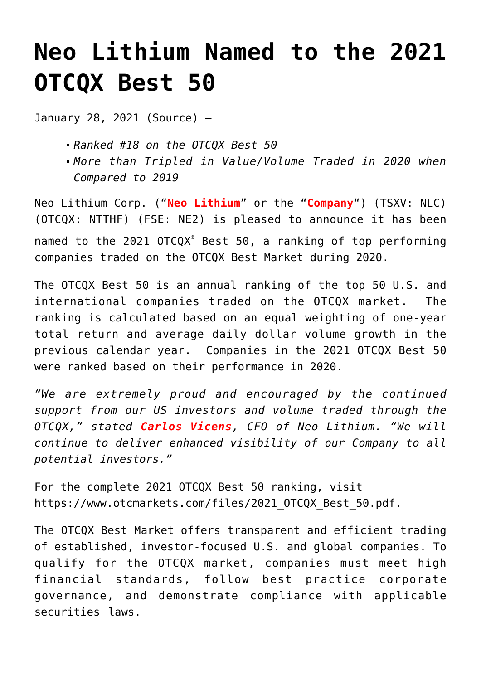## **[Neo Lithium Named to the 2021](https://investorintel.com/markets/technology-metals/technology-metals-news/neo-lithium-named-to-the-2021-otcqx-best-50/) [OTCQX Best 50](https://investorintel.com/markets/technology-metals/technology-metals-news/neo-lithium-named-to-the-2021-otcqx-best-50/)**

January 28, 2021 ([Source\)](https://www.newswire.ca/news-releases/neo-lithium-named-to-the-2021-otcqx-best-50-862758678.html) —

- *Ranked #18 on the OTCQX Best 50*
- *More than Tripled in Value/Volume Traded in 2020 when Compared to 2019*

Neo Lithium Corp. ("**Neo Lithium**" or the "**Company**") (TSXV: [NLC\)](https://www.newswire.ca/news-releases/neo-lithium-named-to-the-2021-otcqx-best-50-862758678.html#financial-modal) (OTCQX: NTTHF) (FSE: NE2) is pleased to announce it has been named to the 2021 OTCQX® Best 50, a ranking of top performing companies traded on the OTCQX Best Market during 2020.

The OTCQX Best 50 is an annual ranking of the top 50 U.S. and international companies traded on the OTCQX market. The ranking is calculated based on an equal weighting of one-year total return and average daily dollar volume growth in the previous calendar year. Companies in the 2021 OTCQX Best 50 were ranked based on their performance in 2020.

*"We are extremely proud and encouraged by the continued support from our US investors and volume traded through the OTCQX," stated Carlos Vicens, CFO of Neo Lithium. "We will continue to deliver enhanced visibility of our Company to all potential investors."*

For the complete 2021 OTCQX Best 50 ranking, visit [https://www.otcmarkets.com/files/2021\\_OTCQX\\_Best\\_50.pdf.](https://c212.net/c/link/?t=0&l=en&o=3050146-1&h=925906690&u=https%3A%2F%2Fwww.otcmarkets.com%2Ffiles%2F2021_OTCQX_Best_50.pdf&a=https%3A%2F%2Fwww.otcmarkets.com%2Ffiles%2F2021_OTCQX_Best_50.pdf)

The OTCQX Best Market offers transparent and efficient trading of established, investor-focused U.S. and global companies. To qualify for the OTCQX market, companies must meet high financial standards, follow best practice corporate governance, and demonstrate compliance with applicable securities laws.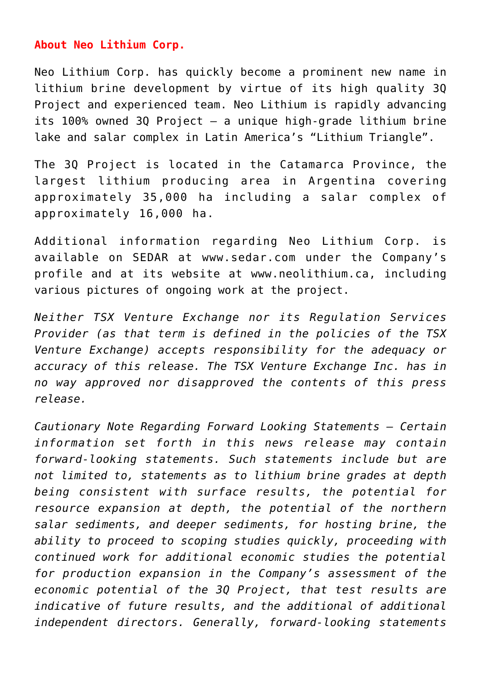## **About Neo Lithium Corp.**

Neo Lithium Corp. has quickly become a prominent new name in lithium brine development by virtue of its high quality 3Q Project and experienced team. Neo Lithium is rapidly advancing its 100% owned 3Q Project – a unique high-grade lithium brine lake and salar complex in Latin America's "Lithium Triangle".

The 3Q Project is located in the Catamarca Province, the largest lithium producing area in Argentina covering approximately 35,000 ha including a salar complex of approximately 16,000 ha.

Additional information regarding Neo Lithium Corp. is available on SEDAR at [www.sedar.com](http://www.sedar.com/) under the Company's profile and at its website at [www.neolithium.ca,](http://www.neolithium.ca/) including various pictures of ongoing work at the project.

*Neither TSX Venture Exchange nor its Regulation Services Provider (as that term is defined in the policies of the TSX Venture Exchange) accepts responsibility for the adequacy or accuracy of this release. The TSX Venture Exchange Inc. has in no way approved nor disapproved the contents of this press release.*

*Cautionary Note Regarding Forward Looking Statements – Certain information set forth in this news release may contain forward-looking statements. Such statements include but are not limited to, statements as to lithium brine grades at depth being consistent with surface results, the potential for resource expansion at depth, the potential of the northern salar sediments, and deeper sediments, for hosting brine, the ability to proceed to scoping studies quickly, proceeding with continued work for additional economic studies the potential for production expansion in the Company's assessment of the economic potential of the 3Q Project, that test results are indicative of future results, and the additional of additional independent directors. Generally, forward-looking statements*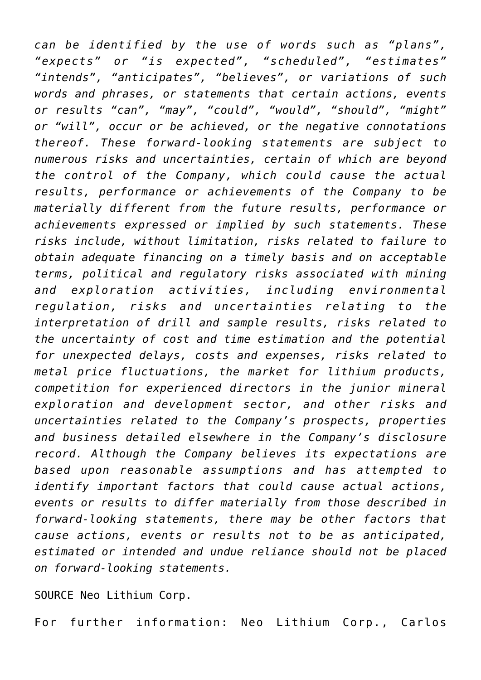*can be identified by the use of words such as "plans", "expects" or "is expected", "scheduled", "estimates" "intends", "anticipates", "believes", or variations of such words and phrases, or statements that certain actions, events or results "can", "may", "could", "would", "should", "might" or "will", occur or be achieved, or the negative connotations thereof. These forward-looking statements are subject to numerous risks and uncertainties, certain of which are beyond the control of the Company, which could cause the actual results, performance or achievements of the Company to be materially different from the future results, performance or achievements expressed or implied by such statements. These risks include, without limitation, risks related to failure to obtain adequate financing on a timely basis and on acceptable terms, political and regulatory risks associated with mining and exploration activities, including environmental regulation, risks and uncertainties relating to the interpretation of drill and sample results, risks related to the uncertainty of cost and time estimation and the potential for unexpected delays, costs and expenses, risks related to metal price fluctuations, the market for lithium products, competition for experienced directors in the junior mineral exploration and development sector, and other risks and uncertainties related to the Company's prospects, properties and business detailed elsewhere in the Company's disclosure record. Although the Company believes its expectations are based upon reasonable assumptions and has attempted to identify important factors that could cause actual actions, events or results to differ materially from those described in forward-looking statements, there may be other factors that cause actions, events or results not to be as anticipated, estimated or intended and undue reliance should not be placed on forward-looking statements.*

SOURCE Neo Lithium Corp.

For further information: Neo Lithium Corp., Carlos